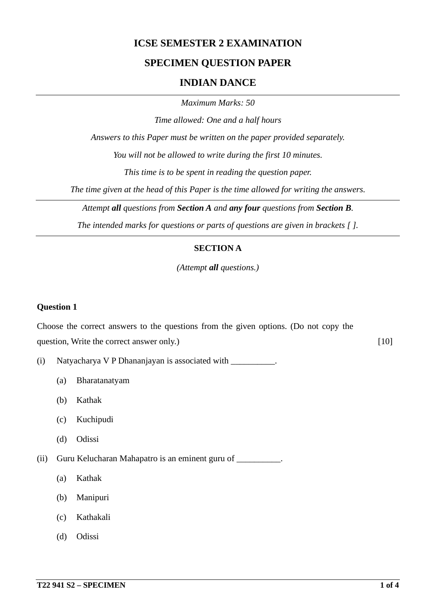## **ICSE SEMESTER 2 EXAMINATION**

### **SPECIMEN QUESTION PAPER**

#### **INDIAN DANCE**

*Maximum Marks: 50*

*Time allowed: One and a half hours*

*Answers to this Paper must be written on the paper provided separately.*

*You will not be allowed to write during the first 10 minutes.*

*This time is to be spent in reading the question paper.*

*The time given at the head of this Paper is the time allowed for writing the answers.*

*Attempt all questions from Section A and any four questions from Section B.*

*The intended marks for questions or parts of questions are given in brackets [ ].*

#### **SECTION A**

*(Attempt all questions.)*

#### **Question 1**

Choose the correct answers to the questions from the given options. (Do not copy the question, Write the correct answer only.) [10]

(i) Natyacharya V P Dhananjayan is associated with  $\blacksquare$ .

- (a) Bharatanatyam
- (b) Kathak
- (c) Kuchipudi
- (d) Odissi

(ii) Guru Kelucharan Mahapatro is an eminent guru of \_\_\_\_\_\_\_\_\_\_.

- (a) Kathak
- (b) Manipuri
- (c) Kathakali
- (d) Odissi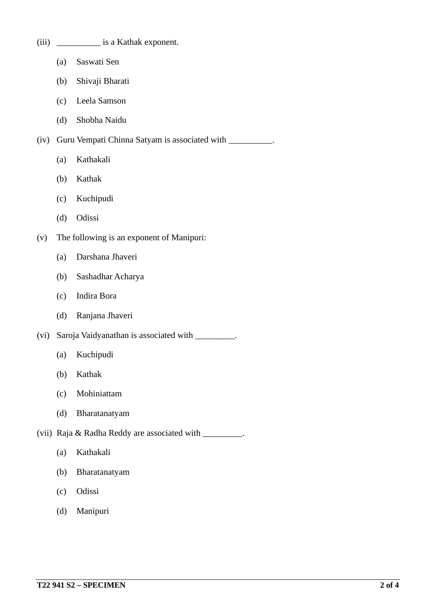| (iii) | is a Kathak exponent. |
|-------|-----------------------|
|-------|-----------------------|

- (a) Saswati Sen
- (b) Shivaji Bharati
- (c) Leela Samson
- (d) Shobha Naidu

(iv) Guru Vempati Chinna Satyam is associated with \_\_\_\_\_\_\_\_\_\_.

- (a) Kathakali
- (b) Kathak
- (c) Kuchipudi
- (d) Odissi
- (v) The following is an exponent of Manipuri:
	- (a) Darshana Jhaveri
	- (b) Sashadhar Acharya
	- (c) Indira Bora
	- (d) Ranjana Jhaveri
- (vi) Saroja Vaidyanathan is associated with \_\_\_\_\_\_\_\_\_.
	- (a) Kuchipudi
	- (b) Kathak
	- (c) Mohiniattam
	- (d) Bharatanatyam
- (vii) Raja & Radha Reddy are associated with \_\_\_\_\_\_\_\_\_.
	- (a) Kathakali
	- (b) Bharatanatyam
	- (c) Odissi
	- (d) Manipuri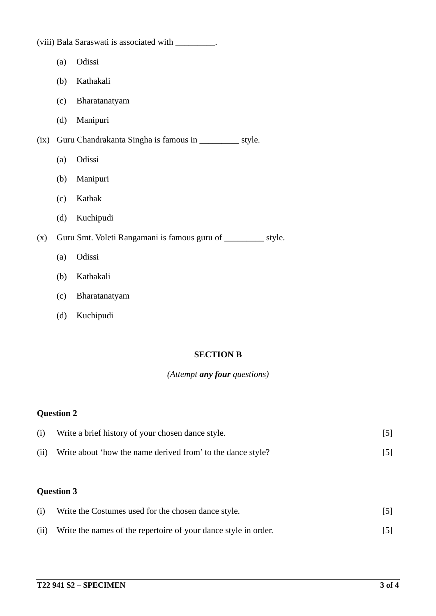|      |     | (viii) Bala Saraswati is associated with _________.            |
|------|-----|----------------------------------------------------------------|
|      | (a) | Odissi                                                         |
|      | (b) | Kathakali                                                      |
|      | (c) | Bharatanatyam                                                  |
|      | (d) | Manipuri                                                       |
| (ix) |     | Guru Chandrakanta Singha is famous in ______________ style.    |
|      | (a) | Odissi                                                         |
|      | (b) | Manipuri                                                       |
|      | (c) | Kathak                                                         |
|      | (d) | Kuchipudi                                                      |
| (x)  |     | Guru Smt. Voleti Rangamani is famous guru of __________ style. |
|      | (a) | Odissi                                                         |
|      | (b) | Kathakali                                                      |
|      | (c) | Bharatanatyam                                                  |
|      | (d) | Kuchipudi                                                      |
|      |     |                                                                |

### **SECTION B**

# *(Attempt any four questions)*

# **Question 2**

| (i)  | Write a brief history of your chosen dance style.           | [5] |
|------|-------------------------------------------------------------|-----|
| (ii) | Write about 'how the name derived from' to the dance style? | [5] |
|      |                                                             |     |

# **Question 3**

| (i)  | Write the Costumes used for the chosen dance style.             | $\lceil 5 \rceil$ |
|------|-----------------------------------------------------------------|-------------------|
| (ii) | Write the names of the repertoire of your dance style in order. | $\lceil 5 \rceil$ |